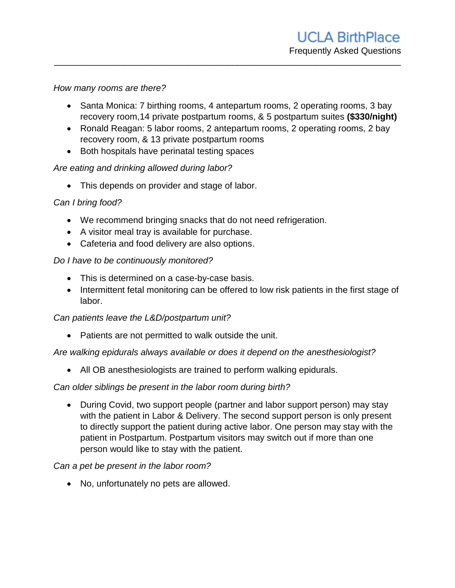#### *How many rooms are there?*

• Santa Monica: 7 birthing rooms, 4 antepartum rooms, 2 operating rooms, 3 bay recovery room,14 private postpartum rooms, & 5 postpartum suites **(\$330/night)**

\_\_\_\_\_\_\_\_\_\_\_\_\_\_\_\_\_\_\_\_\_\_\_\_\_\_\_\_\_\_\_\_\_\_\_\_\_\_\_\_\_\_\_\_\_\_\_\_\_\_\_\_\_\_\_\_\_\_\_\_\_\_\_\_\_\_\_\_\_\_

- Ronald Reagan: 5 labor rooms, 2 antepartum rooms, 2 operating rooms, 2 bay recovery room, & 13 private postpartum rooms
- Both hospitals have perinatal testing spaces

## *Are eating and drinking allowed during labor?*

• This depends on provider and stage of labor.

## *Can I bring food?*

- We recommend bringing snacks that do not need refrigeration.
- A visitor meal tray is available for purchase.
- Cafeteria and food delivery are also options.

### *Do I have to be continuously monitored?*

- This is determined on a case-by-case basis.
- Intermittent fetal monitoring can be offered to low risk patients in the first stage of labor.

### *Can patients leave the L&D/postpartum unit?*

• Patients are not permitted to walk outside the unit.

### *Are walking epidurals always available or does it depend on the anesthesiologist?*

All OB anesthesiologists are trained to perform walking epidurals.

### *Can older siblings be present in the labor room during birth?*

• During Covid, two support people (partner and labor support person) may stay with the patient in Labor & Delivery. The second support person is only present to directly support the patient during active labor. One person may stay with the patient in Postpartum. Postpartum visitors may switch out if more than one person would like to stay with the patient.

### *Can a pet be present in the labor room?*

• No, unfortunately no pets are allowed.